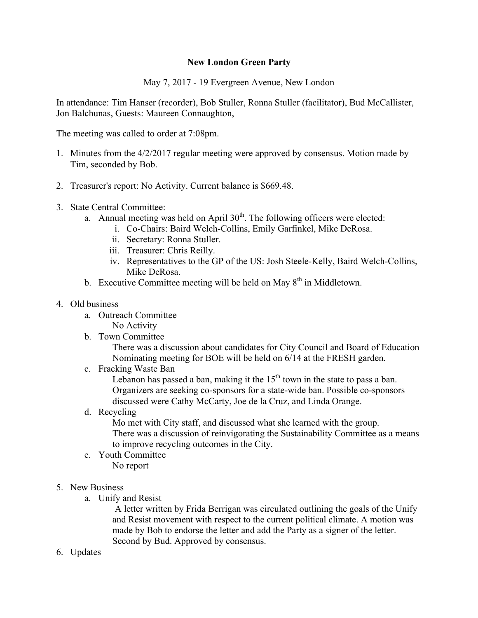## **New London Green Party**

May 7, 2017 - 19 Evergreen Avenue, New London

In attendance: Tim Hanser (recorder), Bob Stuller, Ronna Stuller (facilitator), Bud McCallister, Jon Balchunas, Guests: Maureen Connaughton,

The meeting was called to order at 7:08pm.

- 1. Minutes from the 4/2/2017 regular meeting were approved by consensus. Motion made by Tim, seconded by Bob.
- 2. Treasurer's report: No Activity. Current balance is \$669.48.
- 3. State Central Committee:
	- a. Annual meeting was held on April  $30<sup>th</sup>$ . The following officers were elected:
		- i. Co-Chairs: Baird Welch-Collins, Emily Garfinkel, Mike DeRosa.
		- ii. Secretary: Ronna Stuller.
		- iii. Treasurer: Chris Reilly.
		- iv. Representatives to the GP of the US: Josh Steele-Kelly, Baird Welch-Collins, Mike DeRosa.
	- b. Executive Committee meeting will be held on May  $8<sup>th</sup>$  in Middletown.
- 4. Old business
	- a. Outreach Committee
		- No Activity
	- b. Town Committee

There was a discussion about candidates for City Council and Board of Education Nominating meeting for BOE will be held on 6/14 at the FRESH garden.

c. Fracking Waste Ban

Lebanon has passed a ban, making it the  $15<sup>th</sup>$  town in the state to pass a ban. Organizers are seeking co-sponsors for a state-wide ban. Possible co-sponsors discussed were Cathy McCarty, Joe de la Cruz, and Linda Orange.

d. Recycling

Mo met with City staff, and discussed what she learned with the group. There was a discussion of reinvigorating the Sustainability Committee as a means to improve recycling outcomes in the City.

- e. Youth Committee No report
- 5. New Business
	- a. Unify and Resist

A letter written by Frida Berrigan was circulated outlining the goals of the Unify and Resist movement with respect to the current political climate. A motion was made by Bob to endorse the letter and add the Party as a signer of the letter. Second by Bud. Approved by consensus.

6. Updates